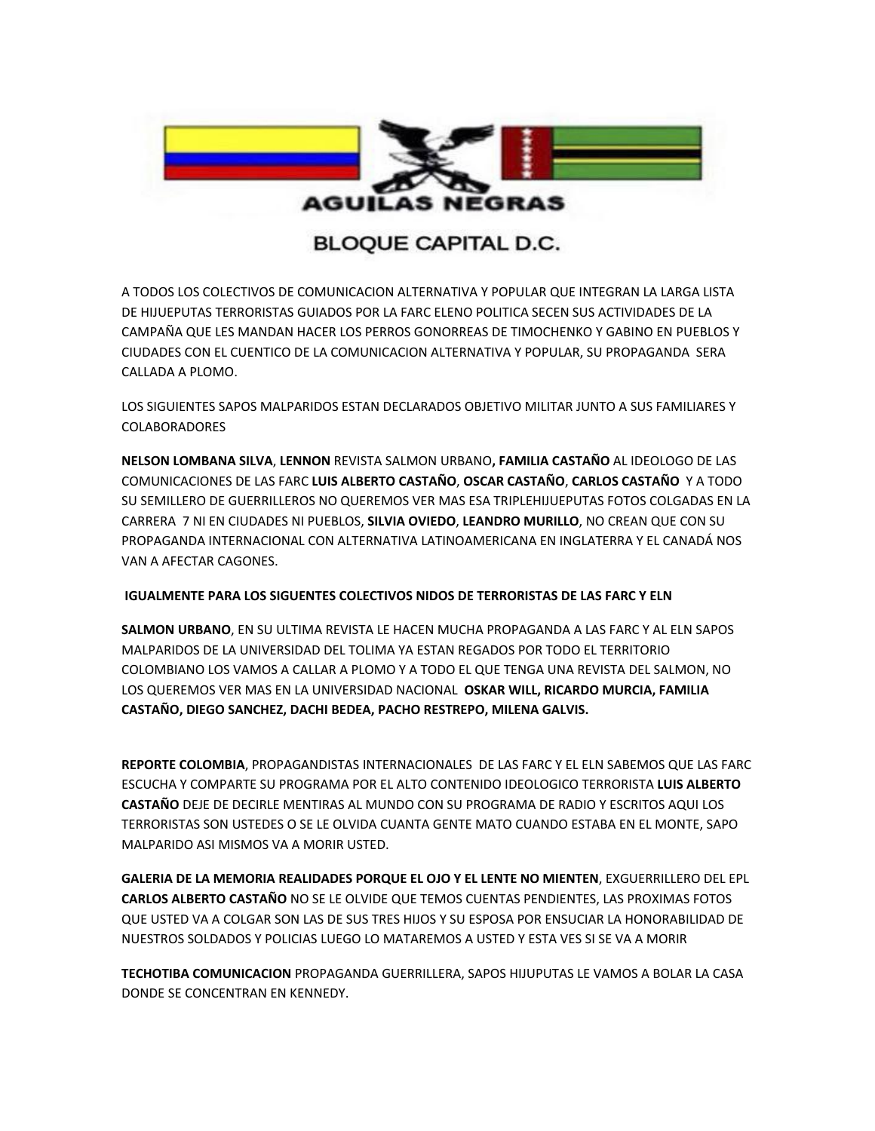

## **BLOQUE CAPITAL D.C.**

A TODOS LOS COLECTIVOS DE COMUNICACION ALTERNATIVA Y POPULAR QUE INTEGRAN LA LARGA LISTA DE HIJUEPUTAS TERRORISTAS GUIADOS POR LA FARC ELENO POLITICA SECEN SUS ACTIVIDADES DE LA CAMPAÑA QUE LES MANDAN HACER LOS PERROS GONORREAS DE TIMOCHENKO Y GABINO EN PUEBLOS Y CIUDADES CON EL CUENTICO DE LA COMUNICACION ALTERNATIVA Y POPULAR, SU PROPAGANDA SERA CALLADA A PLOMO.

LOS SIGUIENTES SAPOS MALPARIDOS ESTAN DECLARADOS OBJETIVO MILITAR JUNTO A SUS FAMILIARES Y COLABORADORES

**NELSON LOMBANA SILVA**, **LENNON** REVISTA SALMON URBANO**, FAMILIA CASTAÑO** AL IDEOLOGO DE LAS COMUNICACIONES DE LAS FARC **LUIS ALBERTO CASTAÑO**, **OSCAR CASTAÑO**, **CARLOS CASTAÑO** Y A TODO SU SEMILLERO DE GUERRILLEROS NO QUEREMOS VER MAS ESA TRIPLEHIJUEPUTAS FOTOS COLGADAS EN LA CARRERA 7 NI EN CIUDADES NI PUEBLOS, **SILVIA OVIEDO**, **LEANDRO MURILLO**, NO CREAN QUE CON SU PROPAGANDA INTERNACIONAL CON ALTERNATIVA LATINOAMERICANA EN INGLATERRA Y EL CANADÁ NOS VAN A AFECTAR CAGONES.

## **IGUALMENTE PARA LOS SIGUENTES COLECTIVOS NIDOS DE TERRORISTAS DE LAS FARC Y ELN**

**SALMON URBANO**, EN SU ULTIMA REVISTA LE HACEN MUCHA PROPAGANDA A LAS FARC Y AL ELN SAPOS MALPARIDOS DE LA UNIVERSIDAD DEL TOLIMA YA ESTAN REGADOS POR TODO EL TERRITORIO COLOMBIANO LOS VAMOS A CALLAR A PLOMO Y A TODO EL QUE TENGA UNA REVISTA DEL SALMON, NO LOS QUEREMOS VER MAS EN LA UNIVERSIDAD NACIONAL **OSKAR WILL, RICARDO MURCIA, FAMILIA CASTAÑO, DIEGO SANCHEZ, DACHI BEDEA, PACHO RESTREPO, MILENA GALVIS.**

**REPORTE COLOMBIA**, PROPAGANDISTAS INTERNACIONALES DE LAS FARC Y EL ELN SABEMOS QUE LAS FARC ESCUCHA Y COMPARTE SU PROGRAMA POR EL ALTO CONTENIDO IDEOLOGICO TERRORISTA **LUIS ALBERTO CASTAÑO** DEJE DE DECIRLE MENTIRAS AL MUNDO CON SU PROGRAMA DE RADIO Y ESCRITOS AQUI LOS TERRORISTAS SON USTEDES O SE LE OLVIDA CUANTA GENTE MATO CUANDO ESTABA EN EL MONTE, SAPO MALPARIDO ASI MISMOS VA A MORIR USTED.

**GALERIA DE LA MEMORIA REALIDADES PORQUE EL OJO Y EL LENTE NO MIENTEN**, EXGUERRILLERO DEL EPL **CARLOS ALBERTO CASTAÑO** NO SE LE OLVIDE QUE TEMOS CUENTAS PENDIENTES, LAS PROXIMAS FOTOS QUE USTED VA A COLGAR SON LAS DE SUS TRES HIJOS Y SU ESPOSA POR ENSUCIAR LA HONORABILIDAD DE NUESTROS SOLDADOS Y POLICIAS LUEGO LO MATAREMOS A USTED Y ESTA VES SI SE VA A MORIR

**TECHOTIBA COMUNICACION** PROPAGANDA GUERRILLERA, SAPOS HIJUPUTAS LE VAMOS A BOLAR LA CASA DONDE SE CONCENTRAN EN KENNEDY.